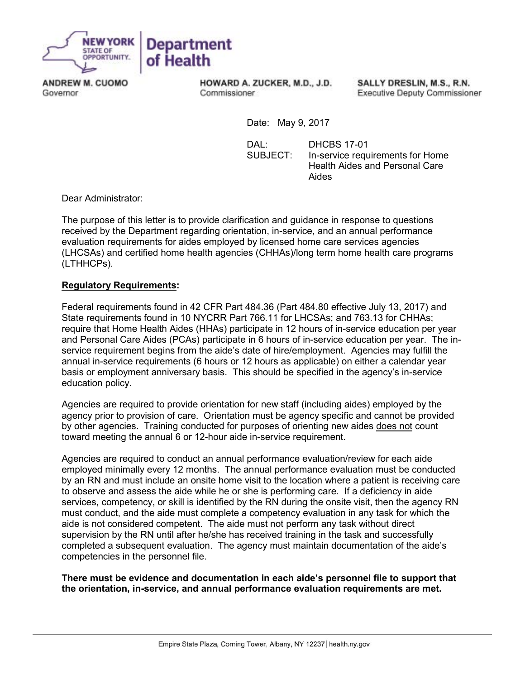

**ANDREW M. CUOMO** Governor

HOWARD A. ZUCKER, M.D., J.D. Commissioner

SALLY DRESLIN, M.S., R.N. **Executive Deputy Commissioner** 

Date: May 9, 2017

 DAL: DHCBS 17-01 SUBJECT: In-service requirements for Home Health Aides and Personal Care Aides

Dear Administrator:

The purpose of this letter is to provide clarification and guidance in response to questions received by the Department regarding orientation, in-service, and an annual performance evaluation requirements for aides employed by licensed home care services agencies (LHCSAs) and certified home health agencies (CHHAs)/long term home health care programs (LTHHCPs).

## **Regulatory Requirements:**

Federal requirements found in 42 CFR Part 484.36 (Part 484.80 effective July 13, 2017) and State requirements found in 10 NYCRR Part 766.11 for LHCSAs; and 763.13 for CHHAs; require that Home Health Aides (HHAs) participate in 12 hours of in-service education per year and Personal Care Aides (PCAs) participate in 6 hours of in-service education per year. The inservice requirement begins from the aide's date of hire/employment. Agencies may fulfill the annual in-service requirements (6 hours or 12 hours as applicable) on either a calendar year basis or employment anniversary basis. This should be specified in the agency's in-service education policy.

Agencies are required to provide orientation for new staff (including aides) employed by the agency prior to provision of care. Orientation must be agency specific and cannot be provided by other agencies. Training conducted for purposes of orienting new aides does not count toward meeting the annual 6 or 12-hour aide in-service requirement.

Agencies are required to conduct an annual performance evaluation/review for each aide employed minimally every 12 months. The annual performance evaluation must be conducted by an RN and must include an onsite home visit to the location where a patient is receiving care to observe and assess the aide while he or she is performing care. If a deficiency in aide services, competency, or skill is identified by the RN during the onsite visit, then the agency RN must conduct, and the aide must complete a competency evaluation in any task for which the aide is not considered competent. The aide must not perform any task without direct supervision by the RN until after he/she has received training in the task and successfully completed a subsequent evaluation. The agency must maintain documentation of the aide's competencies in the personnel file.

**There must be evidence and documentation in each aide's personnel file to support that the orientation, in-service, and annual performance evaluation requirements are met.**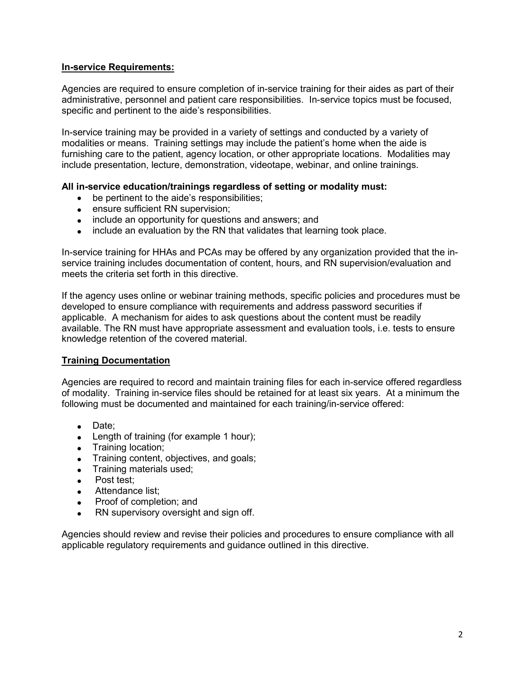## **In-service Requirements:**

Agencies are required to ensure completion of in-service training for their aides as part of their administrative, personnel and patient care responsibilities. In-service topics must be focused, specific and pertinent to the aide's responsibilities.

In-service training may be provided in a variety of settings and conducted by a variety of modalities or means. Training settings may include the patient's home when the aide is furnishing care to the patient, agency location, or other appropriate locations. Modalities may include presentation, lecture, demonstration, videotape, webinar, and online trainings.

## **All in-service education/trainings regardless of setting or modality must:**

- be pertinent to the aide's responsibilities;
- ensure sufficient RN supervision;
- include an opportunity for questions and answers; and
- include an evaluation by the RN that validates that learning took place.

In-service training for HHAs and PCAs may be offered by any organization provided that the inservice training includes documentation of content, hours, and RN supervision/evaluation and meets the criteria set forth in this directive.

If the agency uses online or webinar training methods, specific policies and procedures must be developed to ensure compliance with requirements and address password securities if applicable. A mechanism for aides to ask questions about the content must be readily available. The RN must have appropriate assessment and evaluation tools, i.e. tests to ensure knowledge retention of the covered material.

## **Training Documentation**

Agencies are required to record and maintain training files for each in-service offered regardless of modality. Training in-service files should be retained for at least six years. At a minimum the following must be documented and maintained for each training/in-service offered:

- Date;
- Length of training (for example 1 hour);
- Training location;
- Training content, objectives, and goals;
- Training materials used;
- Post test;
- Attendance list:
- Proof of completion; and
- RN supervisory oversight and sign off.

Agencies should review and revise their policies and procedures to ensure compliance with all applicable regulatory requirements and guidance outlined in this directive.